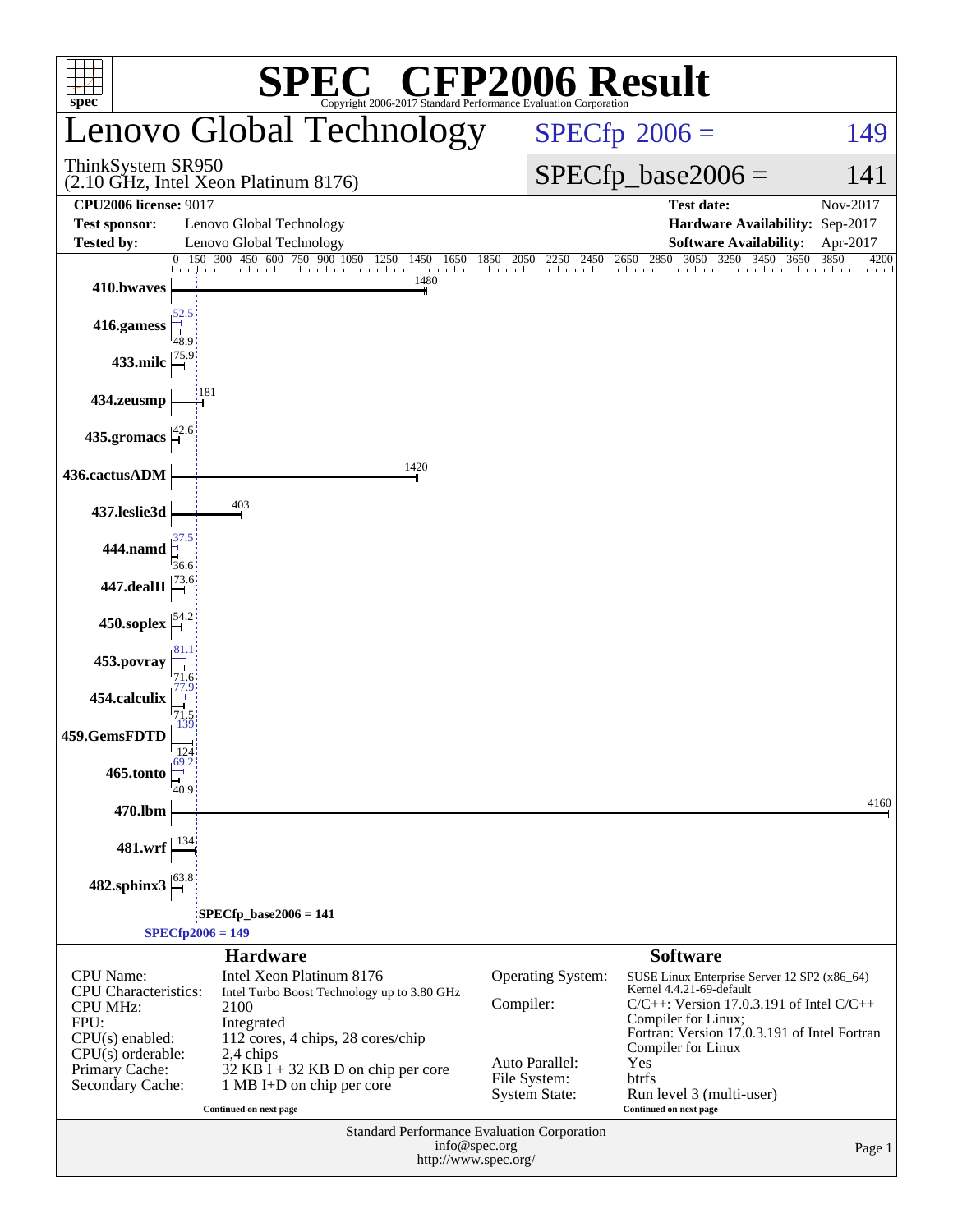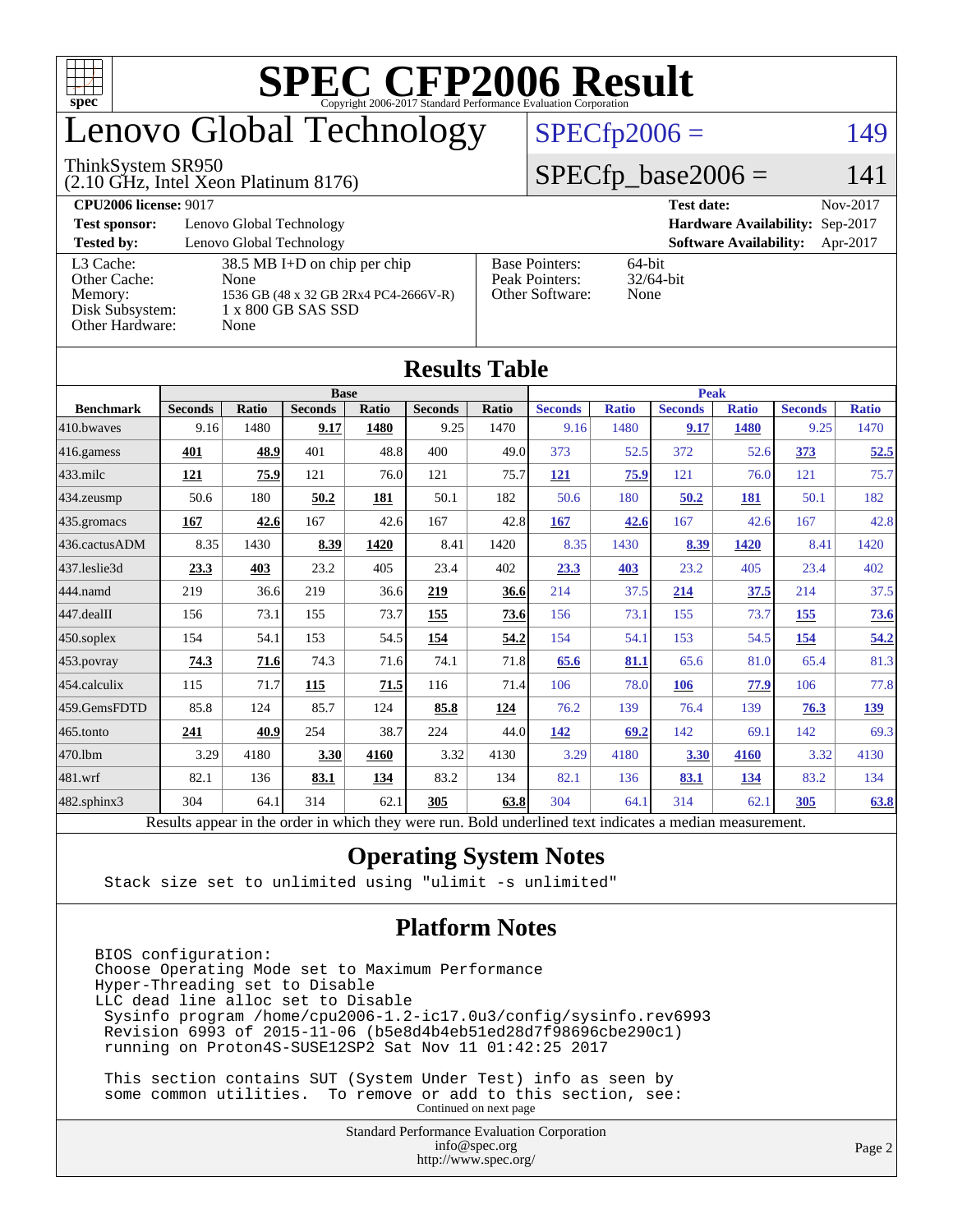

# enovo Global Technology

#### ThinkSystem SR950

(2.10 GHz, Intel Xeon Platinum 8176)

 $SPECfp2006 = 149$  $SPECfp2006 = 149$ 

#### $SPECfp\_base2006 = 141$

| <b>CPU2006 license: 9017</b> |                                       |                       | <b>Test date:</b>               | Nov-2017 |
|------------------------------|---------------------------------------|-----------------------|---------------------------------|----------|
| <b>Test sponsor:</b>         | Lenovo Global Technology              |                       | Hardware Availability: Sep-2017 |          |
| <b>Tested by:</b>            | Lenovo Global Technology              |                       | <b>Software Availability:</b>   | Apr-2017 |
| L3 Cache:                    | $38.5$ MB I+D on chip per chip        | <b>Base Pointers:</b> | 64-bit                          |          |
| Other Cache:                 | None                                  | Peak Pointers:        | $32/64$ -bit                    |          |
| Memory:                      | 1536 GB (48 x 32 GB 2Rx4 PC4-2666V-R) | Other Software:       | None                            |          |
| Disk Subsystem:              | 1 x 800 GB SAS SSD                    |                       |                                 |          |
| Other Hardware:              | None                                  |                       |                                 |          |

| Results Table     |                                                                                                          |              |                |       |                |       |                |              |                |              |                |              |
|-------------------|----------------------------------------------------------------------------------------------------------|--------------|----------------|-------|----------------|-------|----------------|--------------|----------------|--------------|----------------|--------------|
|                   | <b>Base</b>                                                                                              |              |                |       | <b>Peak</b>    |       |                |              |                |              |                |              |
| <b>Benchmark</b>  | <b>Seconds</b>                                                                                           | <b>Ratio</b> | <b>Seconds</b> | Ratio | <b>Seconds</b> | Ratio | <b>Seconds</b> | <b>Ratio</b> | <b>Seconds</b> | <b>Ratio</b> | <b>Seconds</b> | <b>Ratio</b> |
| 410.bwayes        | 9.16                                                                                                     | 1480         | 9.17           | 1480  | 9.25           | 1470  | 9.16           | 1480         | 9.17           | 1480         | 9.25           | 1470         |
| $416$ .gamess     | 401                                                                                                      | 48.9         | 401            | 48.8  | 400            | 49.0  | 373            | 52.5         | 372            | 52.6         | 373            | 52.5         |
| $433$ .milc       | 121                                                                                                      | 75.9         | 121            | 76.0  | 121            | 75.7  | <b>121</b>     | 75.9         | 121            | 76.0         | 121            | 75.7         |
| $434$ . zeusmp    | 50.6                                                                                                     | 180          | 50.2           | 181   | 50.1           | 182   | 50.6           | 180          | 50.2           | 181          | 50.1           | 182          |
| $435.$ gromacs    | 167                                                                                                      | 42.6         | 167            | 42.6  | 167            | 42.8  | 167            | 42.6         | 167            | 42.6         | 167            | 42.8         |
| 436.cactusADM     | 8.35                                                                                                     | 1430         | 8.39           | 1420  | 8.41           | 1420  | 8.35           | 1430         | 8.39           | 1420         | 8.41           | 1420         |
| 437.leslie3d      | 23.3                                                                                                     | 403          | 23.2           | 405   | 23.4           | 402   | 23.3           | 403          | 23.2           | 405          | 23.4           | 402          |
| 444.namd          | 219                                                                                                      | 36.6         | 219            | 36.6  | 219            | 36.6  | 214            | 37.5         | 214            | 37.5         | 214            | 37.5         |
| 447.dealII        | 156                                                                                                      | 73.1         | 155            | 73.7  | 155            | 73.6  | 156            | 73.1         | 155            | 73.7         | 155            | <u>73.6</u>  |
| $450$ .soplex     | 154                                                                                                      | 54.1         | 153            | 54.5  | 154            | 54.2  | 154            | 54.1         | 153            | 54.5         | 154            | 54.2         |
| 453.povray        | 74.3                                                                                                     | 71.6         | 74.3           | 71.6  | 74.1           | 71.8  | 65.6           | 81.1         | 65.6           | 81.0         | 65.4           | 81.3         |
| 454.calculix      | 115                                                                                                      | 71.7         | 115            | 71.5  | 116            | 71.4  | 106            | 78.0         | 106            | 77.9         | 106            | 77.8         |
| 459.GemsFDTD      | 85.8                                                                                                     | 124          | 85.7           | 124   | 85.8           | 124   | 76.2           | 139          | 76.4           | 139          | 76.3           | 139          |
| $465$ .tonto      | 241                                                                                                      | 40.9         | 254            | 38.7  | 224            | 44.0  | 142            | 69.2         | 142            | 69.1         | 142            | 69.3         |
| 470.1bm           | 3.29                                                                                                     | 4180         | 3.30           | 4160  | 3.32           | 4130  | 3.29           | 4180         | 3.30           | 4160         | 3.32           | 4130         |
| 481.wrf           | 82.1                                                                                                     | 136          | 83.1           | 134   | 83.2           | 134   | 82.1           | 136          | 83.1           | <u>134</u>   | 83.2           | 134          |
| $482$ .sphinx $3$ | 304                                                                                                      | 64.1         | 314            | 62.1  | 305            | 63.8  | 304            | 64.1         | 314            | 62.1         | 305            | 63.8         |
|                   | Results appear in the order in which they were run. Bold underlined text indicates a median measurement. |              |                |       |                |       |                |              |                |              |                |              |

#### **[Results Table](http://www.spec.org/auto/cpu2006/Docs/result-fields.html#ResultsTable)**

#### **[Operating System Notes](http://www.spec.org/auto/cpu2006/Docs/result-fields.html#OperatingSystemNotes)**

Stack size set to unlimited using "ulimit -s unlimited"

#### **[Platform Notes](http://www.spec.org/auto/cpu2006/Docs/result-fields.html#PlatformNotes)**

BIOS configuration: Choose Operating Mode set to Maximum Performance Hyper-Threading set to Disable LLC dead line alloc set to Disable Sysinfo program /home/cpu2006-1.2-ic17.0u3/config/sysinfo.rev6993 Revision 6993 of 2015-11-06 (b5e8d4b4eb51ed28d7f98696cbe290c1) running on Proton4S-SUSE12SP2 Sat Nov 11 01:42:25 2017

 This section contains SUT (System Under Test) info as seen by some common utilities. To remove or add to this section, see: Continued on next page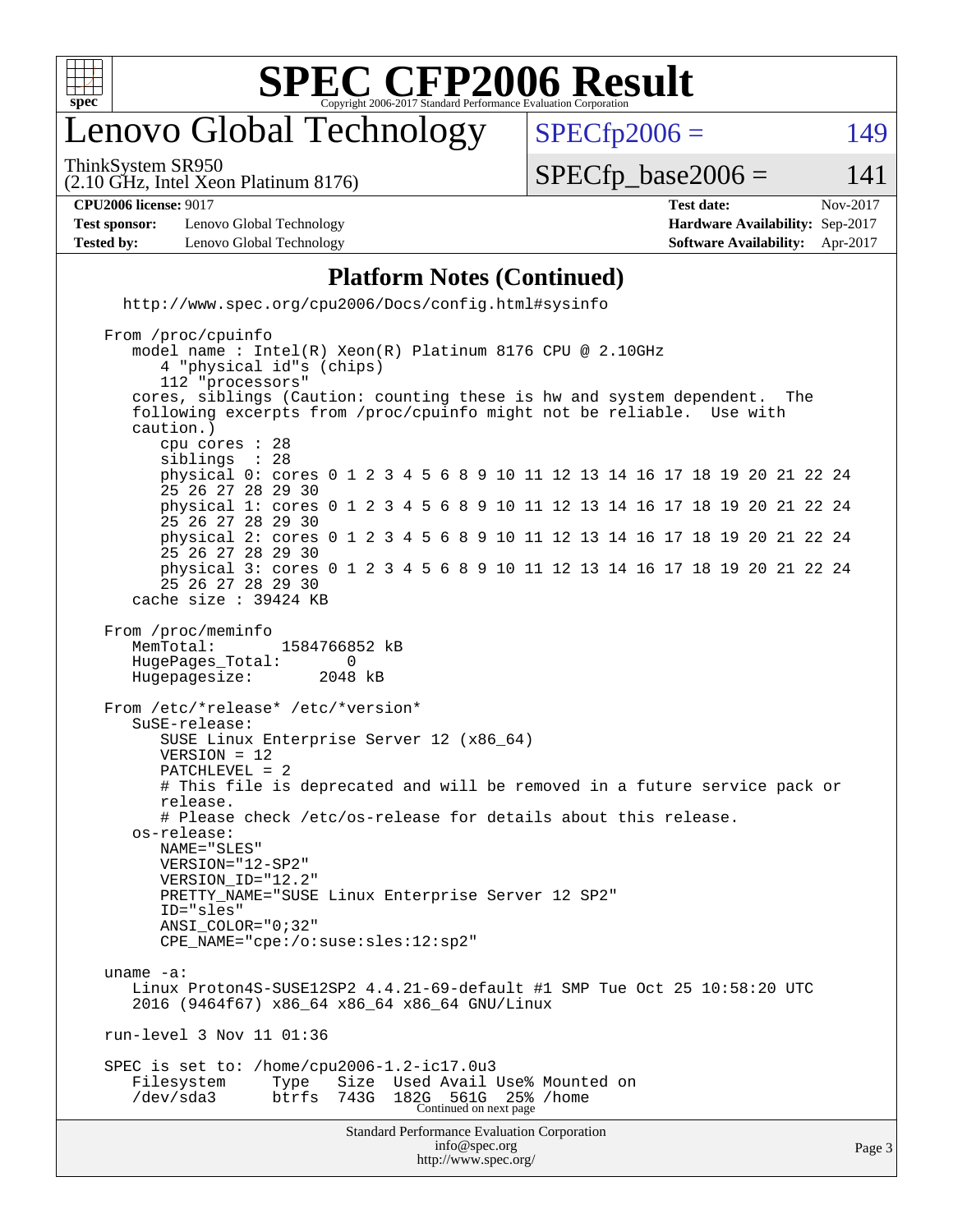

### enovo Global Technology

ThinkSystem SR950

 $SPECTp2006 = 149$ 

(2.10 GHz, Intel Xeon Platinum 8176)

 $SPECTp\_base2006 = 141$ 

| <b>CPU2006 license: 9017</b> | <b>Test date:</b> | Nov-2017 |
|------------------------------|-------------------|----------|
|                              |                   |          |

**[Test sponsor:](http://www.spec.org/auto/cpu2006/Docs/result-fields.html#Testsponsor)** Lenovo Global Technology **[Hardware Availability:](http://www.spec.org/auto/cpu2006/Docs/result-fields.html#HardwareAvailability)** Sep-2017 **[Tested by:](http://www.spec.org/auto/cpu2006/Docs/result-fields.html#Testedby)** Lenovo Global Technology **[Software Availability:](http://www.spec.org/auto/cpu2006/Docs/result-fields.html#SoftwareAvailability)** Apr-2017

#### **[Platform Notes \(Continued\)](http://www.spec.org/auto/cpu2006/Docs/result-fields.html#PlatformNotes)**

 <http://www.spec.org/cpu2006/Docs/config.html#sysinfo> From /proc/cpuinfo

```
Standard Performance Evaluation Corporation
                                      info@spec.org
                                                                                       Page 3
    model name : Intel(R) Xeon(R) Platinum 8176 CPU @ 2.10GHz
        4 "physical id"s (chips)
        112 "processors"
     cores, siblings (Caution: counting these is hw and system dependent. The
     following excerpts from /proc/cpuinfo might not be reliable. Use with
     caution.)
        cpu cores : 28
       siblings
        physical 0: cores 0 1 2 3 4 5 6 8 9 10 11 12 13 14 16 17 18 19 20 21 22 24
        25 26 27 28 29 30
        physical 1: cores 0 1 2 3 4 5 6 8 9 10 11 12 13 14 16 17 18 19 20 21 22 24
        25 26 27 28 29 30
        physical 2: cores 0 1 2 3 4 5 6 8 9 10 11 12 13 14 16 17 18 19 20 21 22 24
        25 26 27 28 29 30
        physical 3: cores 0 1 2 3 4 5 6 8 9 10 11 12 13 14 16 17 18 19 20 21 22 24
        25 26 27 28 29 30
     cache size : 39424 KB
 From /proc/meminfo
    MemTotal: 1584766852 kB
    HugePages_Total: 0
    Hugepagesize: 2048 kB
 From /etc/*release* /etc/*version*
     SuSE-release:
        SUSE Linux Enterprise Server 12 (x86_64)
        VERSION = 12
        PATCHLEVEL = 2
        # This file is deprecated and will be removed in a future service pack or
        release.
        # Please check /etc/os-release for details about this release.
     os-release:
        NAME="SLES"
        VERSION="12-SP2"
        VERSION_ID="12.2"
        PRETTY_NAME="SUSE Linux Enterprise Server 12 SP2"
        ID="sles"
        ANSI_COLOR="0;32"
        CPE_NAME="cpe:/o:suse:sles:12:sp2"
 uname -a:
     Linux Proton4S-SUSE12SP2 4.4.21-69-default #1 SMP Tue Oct 25 10:58:20 UTC
     2016 (9464f67) x86_64 x86_64 x86_64 GNU/Linux
 run-level 3 Nov 11 01:36
 SPEC is set to: /home/cpu2006-1.2-ic17.0u3
   Filesystem Type Size Used Avail Use% Mounted on<br>
/dev/sda3 btrfs 743G 182G 561G 25% /home
 /dev/sda3 btrfs 743G 182G 561G 25% /home
Continued on next page
```
<http://www.spec.org/>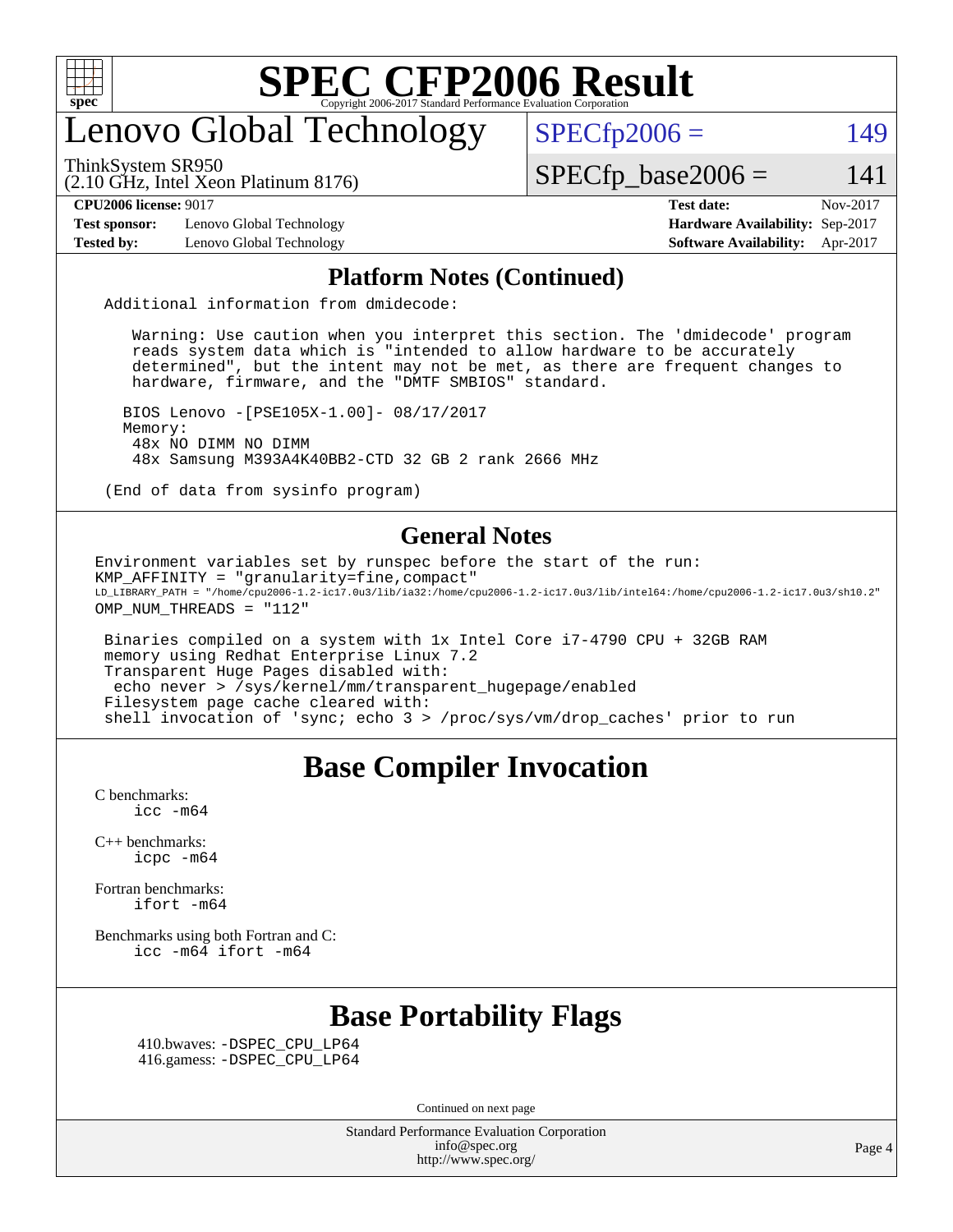

### enovo Global Technology

ThinkSystem SR950

 $SPECfp2006 = 149$  $SPECfp2006 = 149$ 

(2.10 GHz, Intel Xeon Platinum 8176)

 $SPECTp\_base2006 = 141$ 

**[CPU2006 license:](http://www.spec.org/auto/cpu2006/Docs/result-fields.html#CPU2006license)** 9017 **[Test date:](http://www.spec.org/auto/cpu2006/Docs/result-fields.html#Testdate)** Nov-2017

**[Test sponsor:](http://www.spec.org/auto/cpu2006/Docs/result-fields.html#Testsponsor)** Lenovo Global Technology **[Hardware Availability:](http://www.spec.org/auto/cpu2006/Docs/result-fields.html#HardwareAvailability)** Sep-2017

**[Tested by:](http://www.spec.org/auto/cpu2006/Docs/result-fields.html#Testedby)** Lenovo Global Technology **[Software Availability:](http://www.spec.org/auto/cpu2006/Docs/result-fields.html#SoftwareAvailability)** Apr-2017

#### **[Platform Notes \(Continued\)](http://www.spec.org/auto/cpu2006/Docs/result-fields.html#PlatformNotes)**

Additional information from dmidecode:

 Warning: Use caution when you interpret this section. The 'dmidecode' program reads system data which is "intended to allow hardware to be accurately determined", but the intent may not be met, as there are frequent changes to hardware, firmware, and the "DMTF SMBIOS" standard.

 BIOS Lenovo -[PSE105X-1.00]- 08/17/2017 Memory: 48x NO DIMM NO DIMM 48x Samsung M393A4K40BB2-CTD 32 GB 2 rank 2666 MHz

(End of data from sysinfo program)

#### **[General Notes](http://www.spec.org/auto/cpu2006/Docs/result-fields.html#GeneralNotes)**

Environment variables set by runspec before the start of the run: KMP\_AFFINITY = "granularity=fine,compact" LD\_LIBRARY\_PATH = "/home/cpu2006-1.2-ic17.0u3/lib/ia32:/home/cpu2006-1.2-ic17.0u3/lib/intel64:/home/cpu2006-1.2-ic17.0u3/sh10.2" OMP\_NUM\_THREADS = "112"

 Binaries compiled on a system with 1x Intel Core i7-4790 CPU + 32GB RAM memory using Redhat Enterprise Linux 7.2 Transparent Huge Pages disabled with: echo never > /sys/kernel/mm/transparent\_hugepage/enabled Filesystem page cache cleared with: shell invocation of 'sync; echo 3 > /proc/sys/vm/drop\_caches' prior to run

#### **[Base Compiler Invocation](http://www.spec.org/auto/cpu2006/Docs/result-fields.html#BaseCompilerInvocation)**

[C benchmarks](http://www.spec.org/auto/cpu2006/Docs/result-fields.html#Cbenchmarks):  $\text{icc}$   $-\text{m64}$ 

[C++ benchmarks:](http://www.spec.org/auto/cpu2006/Docs/result-fields.html#CXXbenchmarks) [icpc -m64](http://www.spec.org/cpu2006/results/res2017q4/cpu2006-20171128-50938.flags.html#user_CXXbase_intel_icpc_64bit_fc66a5337ce925472a5c54ad6a0de310)

[Fortran benchmarks](http://www.spec.org/auto/cpu2006/Docs/result-fields.html#Fortranbenchmarks): [ifort -m64](http://www.spec.org/cpu2006/results/res2017q4/cpu2006-20171128-50938.flags.html#user_FCbase_intel_ifort_64bit_ee9d0fb25645d0210d97eb0527dcc06e)

[Benchmarks using both Fortran and C](http://www.spec.org/auto/cpu2006/Docs/result-fields.html#BenchmarksusingbothFortranandC): [icc -m64](http://www.spec.org/cpu2006/results/res2017q4/cpu2006-20171128-50938.flags.html#user_CC_FCbase_intel_icc_64bit_bda6cc9af1fdbb0edc3795bac97ada53) [ifort -m64](http://www.spec.org/cpu2006/results/res2017q4/cpu2006-20171128-50938.flags.html#user_CC_FCbase_intel_ifort_64bit_ee9d0fb25645d0210d97eb0527dcc06e)

### **[Base Portability Flags](http://www.spec.org/auto/cpu2006/Docs/result-fields.html#BasePortabilityFlags)**

 410.bwaves: [-DSPEC\\_CPU\\_LP64](http://www.spec.org/cpu2006/results/res2017q4/cpu2006-20171128-50938.flags.html#suite_basePORTABILITY410_bwaves_DSPEC_CPU_LP64) 416.gamess: [-DSPEC\\_CPU\\_LP64](http://www.spec.org/cpu2006/results/res2017q4/cpu2006-20171128-50938.flags.html#suite_basePORTABILITY416_gamess_DSPEC_CPU_LP64)

Continued on next page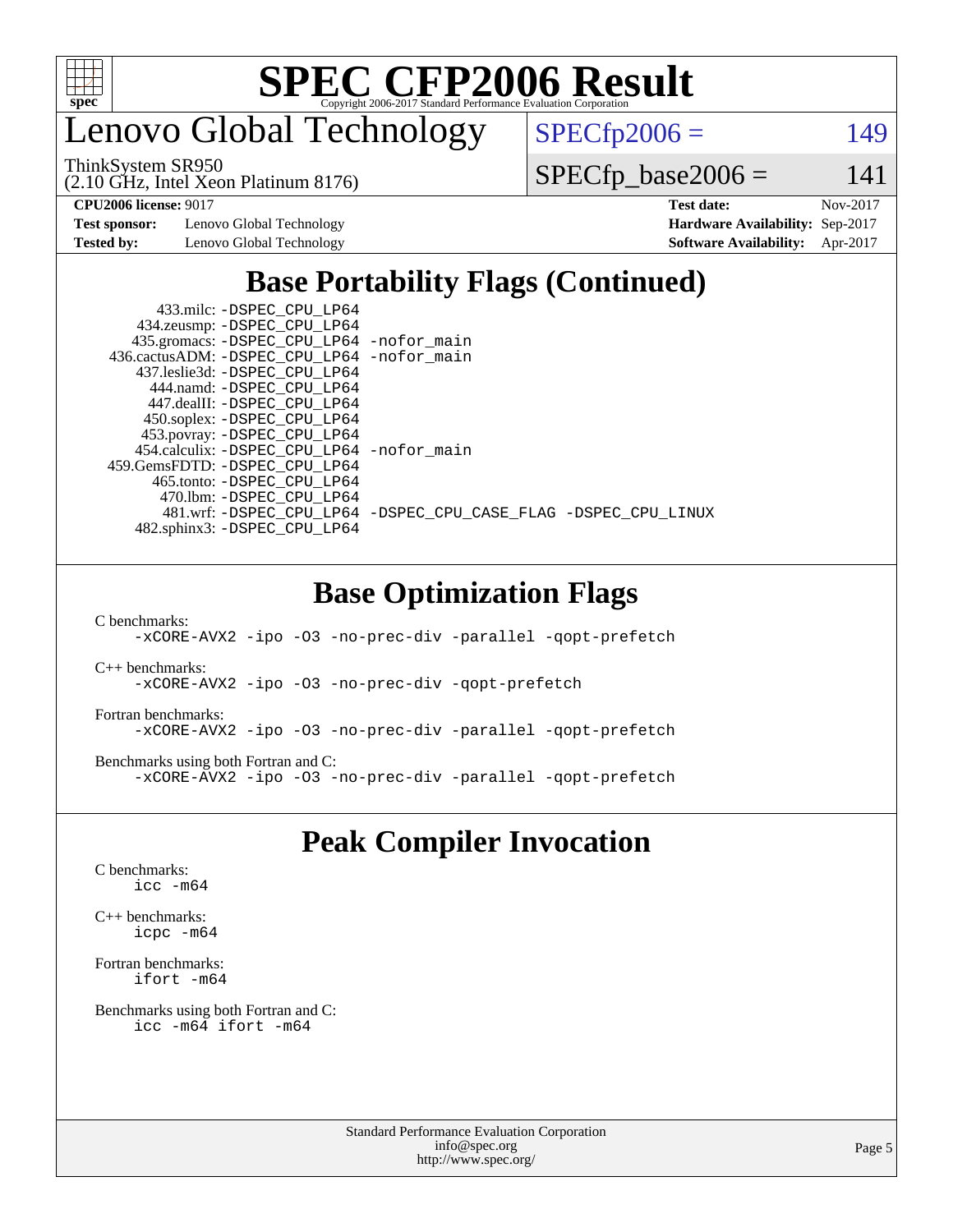

enovo Global Technology

ThinkSystem SR950

 $SPECfp2006 = 149$  $SPECfp2006 = 149$ 

(2.10 GHz, Intel Xeon Platinum 8176)

 $SPECfp\_base2006 = 141$ 

**[Test sponsor:](http://www.spec.org/auto/cpu2006/Docs/result-fields.html#Testsponsor)** Lenovo Global Technology **[Hardware Availability:](http://www.spec.org/auto/cpu2006/Docs/result-fields.html#HardwareAvailability)** Sep-2017

**[CPU2006 license:](http://www.spec.org/auto/cpu2006/Docs/result-fields.html#CPU2006license)** 9017 **[Test date:](http://www.spec.org/auto/cpu2006/Docs/result-fields.html#Testdate)** Nov-2017 **[Tested by:](http://www.spec.org/auto/cpu2006/Docs/result-fields.html#Testedby)** Lenovo Global Technology **[Software Availability:](http://www.spec.org/auto/cpu2006/Docs/result-fields.html#SoftwareAvailability)** Apr-2017

### **[Base Portability Flags \(Continued\)](http://www.spec.org/auto/cpu2006/Docs/result-fields.html#BasePortabilityFlags)**

| 433.milc: -DSPEC CPU LP64                    |                                                                |
|----------------------------------------------|----------------------------------------------------------------|
| 434.zeusmp: -DSPEC_CPU_LP64                  |                                                                |
| 435.gromacs: -DSPEC_CPU_LP64 -nofor_main     |                                                                |
| 436.cactusADM: - DSPEC CPU LP64 - nofor main |                                                                |
| 437.leslie3d: -DSPEC CPU LP64                |                                                                |
| 444.namd: -DSPEC CPU LP64                    |                                                                |
| 447.dealII: -DSPEC CPU LP64                  |                                                                |
| 450.soplex: -DSPEC_CPU_LP64                  |                                                                |
| 453.povray: -DSPEC_CPU_LP64                  |                                                                |
| 454.calculix: -DSPEC_CPU_LP64 -nofor_main    |                                                                |
| 459.GemsFDTD: -DSPEC CPU LP64                |                                                                |
| 465.tonto: -DSPEC CPU LP64                   |                                                                |
| 470.1bm: - DSPEC CPU LP64                    |                                                                |
|                                              | 481.wrf: -DSPEC_CPU_LP64 -DSPEC_CPU_CASE_FLAG -DSPEC_CPU_LINUX |
| 482.sphinx3: -DSPEC CPU LP64                 |                                                                |

#### **[Base Optimization Flags](http://www.spec.org/auto/cpu2006/Docs/result-fields.html#BaseOptimizationFlags)**

[C benchmarks](http://www.spec.org/auto/cpu2006/Docs/result-fields.html#Cbenchmarks):

[-xCORE-AVX2](http://www.spec.org/cpu2006/results/res2017q4/cpu2006-20171128-50938.flags.html#user_CCbase_f-xCORE-AVX2) [-ipo](http://www.spec.org/cpu2006/results/res2017q4/cpu2006-20171128-50938.flags.html#user_CCbase_f-ipo) [-O3](http://www.spec.org/cpu2006/results/res2017q4/cpu2006-20171128-50938.flags.html#user_CCbase_f-O3) [-no-prec-div](http://www.spec.org/cpu2006/results/res2017q4/cpu2006-20171128-50938.flags.html#user_CCbase_f-no-prec-div) [-parallel](http://www.spec.org/cpu2006/results/res2017q4/cpu2006-20171128-50938.flags.html#user_CCbase_f-parallel) [-qopt-prefetch](http://www.spec.org/cpu2006/results/res2017q4/cpu2006-20171128-50938.flags.html#user_CCbase_f-qopt-prefetch)

[C++ benchmarks:](http://www.spec.org/auto/cpu2006/Docs/result-fields.html#CXXbenchmarks) [-xCORE-AVX2](http://www.spec.org/cpu2006/results/res2017q4/cpu2006-20171128-50938.flags.html#user_CXXbase_f-xCORE-AVX2) [-ipo](http://www.spec.org/cpu2006/results/res2017q4/cpu2006-20171128-50938.flags.html#user_CXXbase_f-ipo) [-O3](http://www.spec.org/cpu2006/results/res2017q4/cpu2006-20171128-50938.flags.html#user_CXXbase_f-O3) [-no-prec-div](http://www.spec.org/cpu2006/results/res2017q4/cpu2006-20171128-50938.flags.html#user_CXXbase_f-no-prec-div) [-qopt-prefetch](http://www.spec.org/cpu2006/results/res2017q4/cpu2006-20171128-50938.flags.html#user_CXXbase_f-qopt-prefetch)

[Fortran benchmarks](http://www.spec.org/auto/cpu2006/Docs/result-fields.html#Fortranbenchmarks): [-xCORE-AVX2](http://www.spec.org/cpu2006/results/res2017q4/cpu2006-20171128-50938.flags.html#user_FCbase_f-xCORE-AVX2) [-ipo](http://www.spec.org/cpu2006/results/res2017q4/cpu2006-20171128-50938.flags.html#user_FCbase_f-ipo) [-O3](http://www.spec.org/cpu2006/results/res2017q4/cpu2006-20171128-50938.flags.html#user_FCbase_f-O3) [-no-prec-div](http://www.spec.org/cpu2006/results/res2017q4/cpu2006-20171128-50938.flags.html#user_FCbase_f-no-prec-div) [-parallel](http://www.spec.org/cpu2006/results/res2017q4/cpu2006-20171128-50938.flags.html#user_FCbase_f-parallel) [-qopt-prefetch](http://www.spec.org/cpu2006/results/res2017q4/cpu2006-20171128-50938.flags.html#user_FCbase_f-qopt-prefetch)

[Benchmarks using both Fortran and C](http://www.spec.org/auto/cpu2006/Docs/result-fields.html#BenchmarksusingbothFortranandC): [-xCORE-AVX2](http://www.spec.org/cpu2006/results/res2017q4/cpu2006-20171128-50938.flags.html#user_CC_FCbase_f-xCORE-AVX2) [-ipo](http://www.spec.org/cpu2006/results/res2017q4/cpu2006-20171128-50938.flags.html#user_CC_FCbase_f-ipo) [-O3](http://www.spec.org/cpu2006/results/res2017q4/cpu2006-20171128-50938.flags.html#user_CC_FCbase_f-O3) [-no-prec-div](http://www.spec.org/cpu2006/results/res2017q4/cpu2006-20171128-50938.flags.html#user_CC_FCbase_f-no-prec-div) [-parallel](http://www.spec.org/cpu2006/results/res2017q4/cpu2006-20171128-50938.flags.html#user_CC_FCbase_f-parallel) [-qopt-prefetch](http://www.spec.org/cpu2006/results/res2017q4/cpu2006-20171128-50938.flags.html#user_CC_FCbase_f-qopt-prefetch)

#### **[Peak Compiler Invocation](http://www.spec.org/auto/cpu2006/Docs/result-fields.html#PeakCompilerInvocation)**

[C benchmarks](http://www.spec.org/auto/cpu2006/Docs/result-fields.html#Cbenchmarks): [icc -m64](http://www.spec.org/cpu2006/results/res2017q4/cpu2006-20171128-50938.flags.html#user_CCpeak_intel_icc_64bit_bda6cc9af1fdbb0edc3795bac97ada53)

[C++ benchmarks:](http://www.spec.org/auto/cpu2006/Docs/result-fields.html#CXXbenchmarks) [icpc -m64](http://www.spec.org/cpu2006/results/res2017q4/cpu2006-20171128-50938.flags.html#user_CXXpeak_intel_icpc_64bit_fc66a5337ce925472a5c54ad6a0de310)

[Fortran benchmarks](http://www.spec.org/auto/cpu2006/Docs/result-fields.html#Fortranbenchmarks): [ifort -m64](http://www.spec.org/cpu2006/results/res2017q4/cpu2006-20171128-50938.flags.html#user_FCpeak_intel_ifort_64bit_ee9d0fb25645d0210d97eb0527dcc06e)

[Benchmarks using both Fortran and C](http://www.spec.org/auto/cpu2006/Docs/result-fields.html#BenchmarksusingbothFortranandC): [icc -m64](http://www.spec.org/cpu2006/results/res2017q4/cpu2006-20171128-50938.flags.html#user_CC_FCpeak_intel_icc_64bit_bda6cc9af1fdbb0edc3795bac97ada53) [ifort -m64](http://www.spec.org/cpu2006/results/res2017q4/cpu2006-20171128-50938.flags.html#user_CC_FCpeak_intel_ifort_64bit_ee9d0fb25645d0210d97eb0527dcc06e)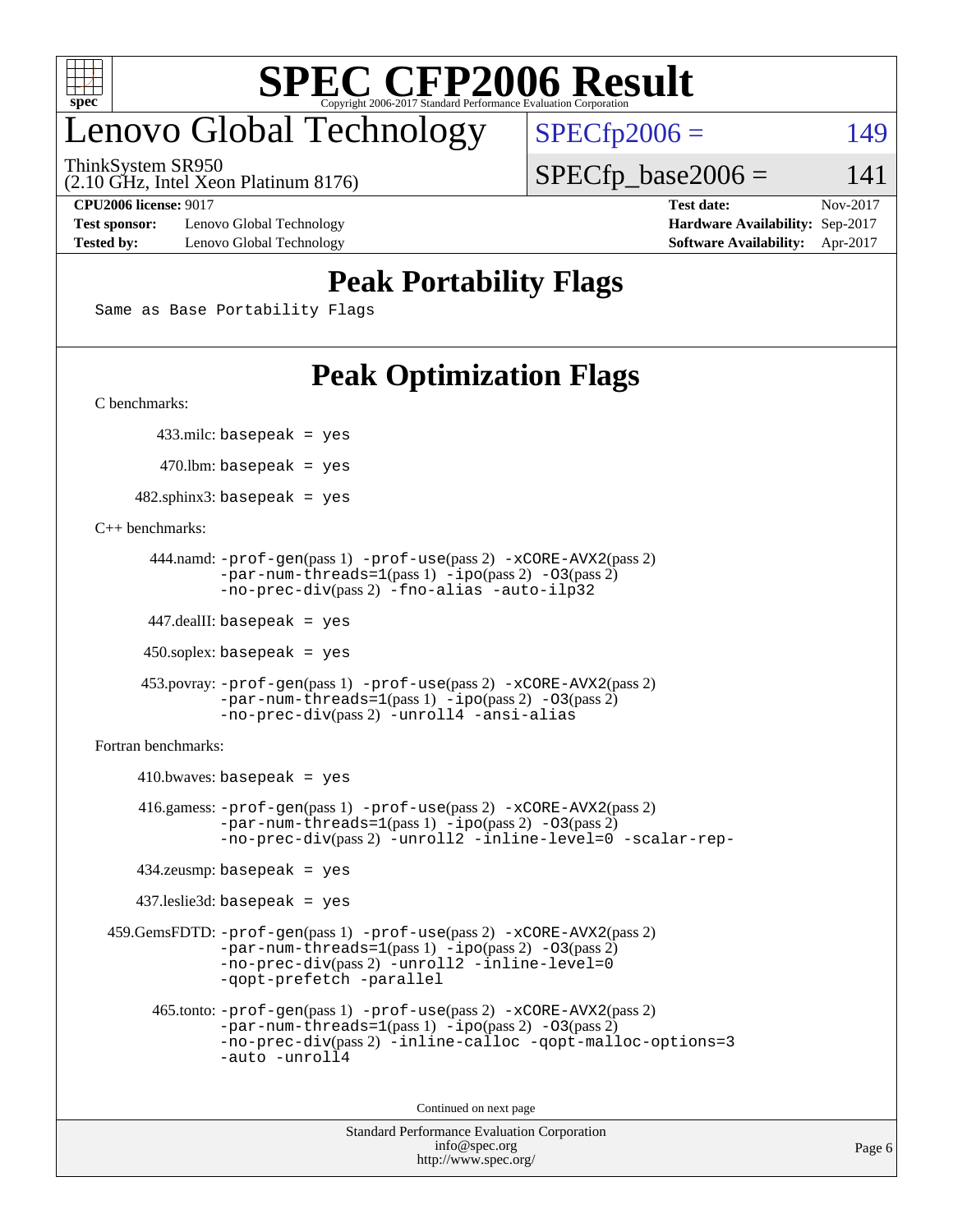

## enovo Global Technology

ThinkSystem SR950

 $SPECTp2006 = 149$ 

 $SPECTp\_base2006 = 141$ 

(2.10 GHz, Intel Xeon Platinum 8176)

**[Test sponsor:](http://www.spec.org/auto/cpu2006/Docs/result-fields.html#Testsponsor)** Lenovo Global Technology **[Hardware Availability:](http://www.spec.org/auto/cpu2006/Docs/result-fields.html#HardwareAvailability)** Sep-2017 **[Tested by:](http://www.spec.org/auto/cpu2006/Docs/result-fields.html#Testedby)** Lenovo Global Technology **[Software Availability:](http://www.spec.org/auto/cpu2006/Docs/result-fields.html#SoftwareAvailability)** Apr-2017

**[CPU2006 license:](http://www.spec.org/auto/cpu2006/Docs/result-fields.html#CPU2006license)** 9017 **[Test date:](http://www.spec.org/auto/cpu2006/Docs/result-fields.html#Testdate)** Nov-2017

#### **[Peak Portability Flags](http://www.spec.org/auto/cpu2006/Docs/result-fields.html#PeakPortabilityFlags)**

Same as Base Portability Flags

### **[Peak Optimization Flags](http://www.spec.org/auto/cpu2006/Docs/result-fields.html#PeakOptimizationFlags)**

[C benchmarks](http://www.spec.org/auto/cpu2006/Docs/result-fields.html#Cbenchmarks):

433.milc: basepeak = yes

 $470.$ lbm: basepeak = yes

 $482$ .sphinx3: basepeak = yes

#### [C++ benchmarks:](http://www.spec.org/auto/cpu2006/Docs/result-fields.html#CXXbenchmarks)

```
 444.namd: -prof-gen(pass 1) -prof-use(pass 2) -xCORE-AVX2(pass 2)
        -par-num-threads=1(pass 1) -ipo(pass 2) -O3(pass 2)
        -no-prec-div(pass 2) -fno-alias -auto-ilp32
```
447.dealII: basepeak = yes

 $450$ .soplex: basepeak = yes

```
 453.povray: -prof-gen(pass 1) -prof-use(pass 2) -xCORE-AVX2(pass 2)
         -par-num-threads=1-ipo-O3(pass 2)-no-prec-div(pass 2) -unroll4 -ansi-alias
```
[Fortran benchmarks](http://www.spec.org/auto/cpu2006/Docs/result-fields.html#Fortranbenchmarks):

```
410.bwaves: basepeak = yes 416.gamess: -prof-gen(pass 1) -prof-use(pass 2) -xCORE-AVX2(pass 2)
            -par-num-threads=1-ipo-O3(pass 2)-no-prec-div(pass 2) -unroll2 -inline-level=0 -scalar-rep-
    434.zeusmp: basepeak = yes
    437.leslie3d: basepeak = yes
 459.GemsFDTD: -prof-gen(pass 1) -prof-use(pass 2) -xCORE-AVX2(pass 2)
            -par-num-threads=1-ipo-O3(pass 2)-no-prec-div(pass 2) -unroll2 -inline-level=0
            -qopt-prefetch -parallel
      465.tonto: -prof-gen(pass 1) -prof-use(pass 2) -xCORE-AVX2(pass 2)
            -par-num-threads=1(pass 1) -ipo(pass 2) -O3(pass 2)
            -no-prec-div-inline-calloc-qopt-malloc-options=3
            -auto -unroll4
```
Continued on next page

```
Standard Performance Evaluation Corporation
             info@spec.org
           http://www.spec.org/
```